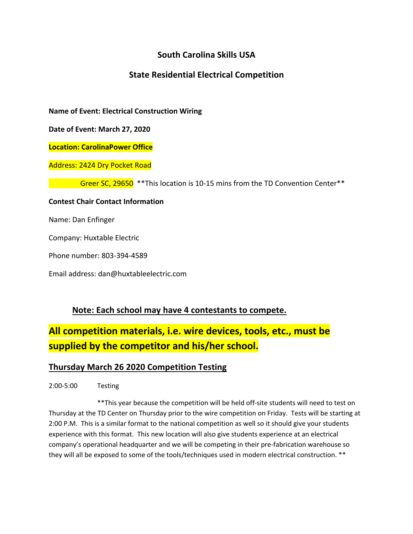# **South Carolina Skills USA**

## **State Residential Electrical Competition**

**Name of Event: Electrical Construction Wiring**

**Date of Event: March 27, 2020**

**Location: CarolinaPower Office** 

Address: 2424 Dry Pocket Road

Greer SC, 29650 \*\*This location is 10-15 mins from the TD Convention Center\*\*

#### **Contest Chair Contact Information**

Name: Dan Enfinger

Company: Huxtable Electric

Phone number: 803-394-4589

Email address: dan@huxtableelectric.com

### **Note: Each school may have 4 contestants to compete.**

# **All competition materials, i.e. wire devices, tools, etc., must be supplied by the competitor and his/her school.**

### **Thursday March 26 2020 Competition Testing**

2:00-5:00 Testing

\*\*This year because the competition will be held off-site students will need to test on Thursday at the TD Center on Thursday prior to the wire competition on Friday. Tests will be starting at 2:00 P.M. This is a similar format to the national competition as well so it should give your students experience with this format. This new location will also give students experience at an electrical company's operational headquarter and we will be competing in their pre-fabrication warehouse so they will all be exposed to some of the tools/techniques used in modern electrical construction. \*\*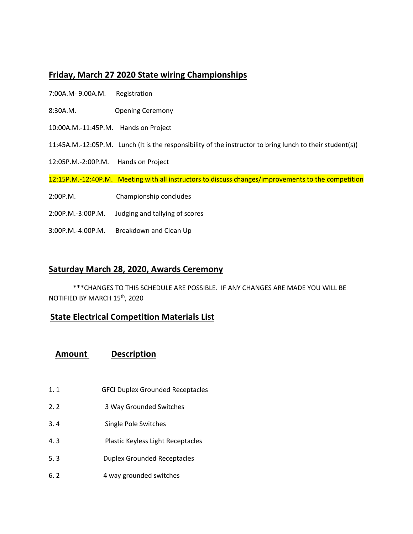## **Friday, March 27 2020 State wiring Championships**

- 7:00A.M- 9.00A.M. Registration
- 8:30A.M. Opening Ceremony
- 10:00A.M.-11:45P.M. Hands on Project
- 11:45A.M.-12:05P.M. Lunch (It is the responsibility of the instructor to bring lunch to their student(s))
- 12:05P.M.-2:00P.M. Hands on Project

12:15P.M.-12:40P.M. Meeting with all instructors to discuss changes/improvements to the competition

- 2:00P.M. Championship concludes
- 2:00P.M.-3:00P.M. Judging and tallying of scores
- 3:00P.M.-4:00P.M. Breakdown and Clean Up

### **Saturday March 28, 2020, Awards Ceremony**

\*\*\*CHANGES TO THIS SCHEDULE ARE POSSIBLE. IF ANY CHANGES ARE MADE YOU WILL BE NOTIFIED BY MARCH 15th, 2020

### **State Electrical Competition Materials List**

### **Amount Description**

- 1. 1 GFCI Duplex Grounded Receptacles
- 2. 2 3 Way Grounded Switches
- 3. 4 Single Pole Switches
- 4. 3 Plastic Keyless Light Receptacles
- 5. 3 Duplex Grounded Receptacles
- 6. 2 4 way grounded switches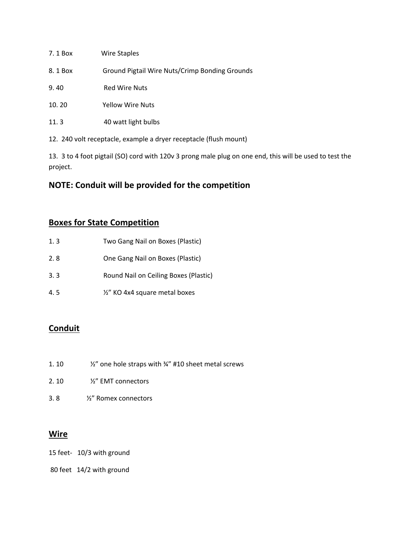| 7.1 Box | <b>Wire Staples</b>                            |
|---------|------------------------------------------------|
| 8.1 Box | Ground Pigtail Wire Nuts/Crimp Bonding Grounds |
| 9.40    | <b>Red Wire Nuts</b>                           |
| 10.20   | <b>Yellow Wire Nuts</b>                        |
| 11.3    | 40 watt light bulbs                            |

12. 240 volt receptacle, example a dryer receptacle (flush mount)

13. 3 to 4 foot pigtail (SO) cord with 120v 3 prong male plug on one end, this will be used to test the project.

# **NOTE: Conduit will be provided for the competition**

## **Boxes for State Competition**

| 1.3 | Two Gang Nail on Boxes (Plastic)      |
|-----|---------------------------------------|
| 2.8 | One Gang Nail on Boxes (Plastic)      |
| 3.3 | Round Nail on Ceiling Boxes (Plastic) |
| 4.5 | 1/2" KO 4x4 square metal boxes        |

# **Conduit**

- 1. 10  $\frac{1}{2}$  one hole straps with  $\frac{1}{4}$  #10 sheet metal screws
- 2. 10 ½" EMT connectors
- 3. 8 ½" Romex connectors

### **Wire**

- 15 feet- 10/3 with ground
- 80 feet 14/2 with ground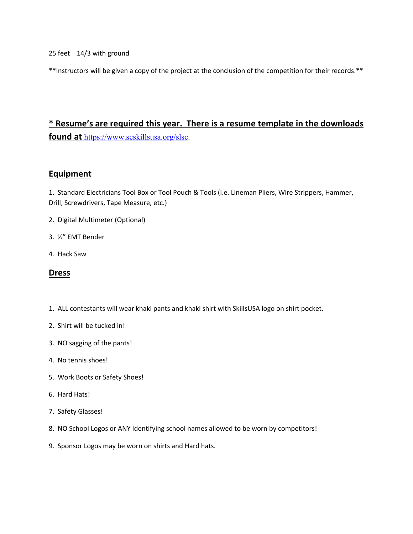25 feet 14/3 with ground

\*\*Instructors will be given a copy of the project at the conclusion of the competition for their records.\*\*

# **\* Resume's are required this year. There is a resume template in the downloads found at** https://www.scskillsusa.org/slsc.

### **Equipment**

1. Standard Electricians Tool Box or Tool Pouch & Tools (i.e. Lineman Pliers, Wire Strippers, Hammer, Drill, Screwdrivers, Tape Measure, etc.)

- 2. Digital Multimeter (Optional)
- 3. ½" EMT Bender
- 4. Hack Saw

### **Dress**

- 1. ALL contestants will wear khaki pants and khaki shirt with SkillsUSA logo on shirt pocket.
- 2. Shirt will be tucked in!
- 3. NO sagging of the pants!
- 4. No tennis shoes!
- 5. Work Boots or Safety Shoes!
- 6. Hard Hats!
- 7. Safety Glasses!
- 8. NO School Logos or ANY Identifying school names allowed to be worn by competitors!
- 9. Sponsor Logos may be worn on shirts and Hard hats.